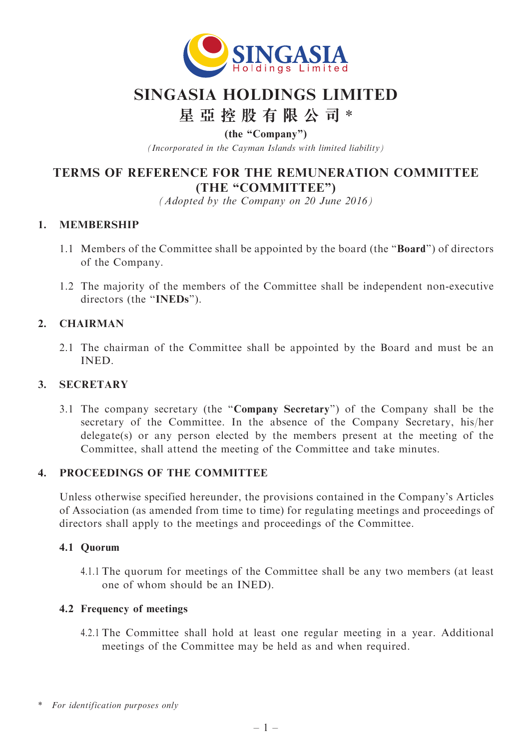

# SINGASIA HOLDINGS LIMITED

# 星 亞 控 股 有 限 公 司 \*

(the ''Company'')

(Incorporated in the Cayman Islands with limited liability)

# TERMS OF REFERENCE FOR THE REMUNERATION COMMITTEE (THE "COMMITTEE")

(Adopted by the Company on 20 June 2016)

# 1. MEMBERSHIP

- 1.1 Members of the Committee shall be appointed by the board (the ''Board'') of directors of the Company.
- 1.2 The majority of the members of the Committee shall be independent non-executive directors (the "INEDs").

# 2. CHAIRMAN

2.1 The chairman of the Committee shall be appointed by the Board and must be an INED.

#### 3. SECRETARY

3.1 The company secretary (the ''Company Secretary'') of the Company shall be the secretary of the Committee. In the absence of the Company Secretary, his/her delegate(s) or any person elected by the members present at the meeting of the Committee, shall attend the meeting of the Committee and take minutes.

# 4. PROCEEDINGS OF THE COMMITTEE

Unless otherwise specified hereunder, the provisions contained in the Company's Articles of Association (as amended from time to time) for regulating meetings and proceedings of directors shall apply to the meetings and proceedings of the Committee.

#### 4.1 Quorum

4.1.1 The quorum for meetings of the Committee shall be any two members (at least one of whom should be an INED).

#### 4.2 Frequency of meetings

4.2.1 The Committee shall hold at least one regular meeting in a year. Additional meetings of the Committee may be held as and when required.

<sup>\*</sup> For identification purposes only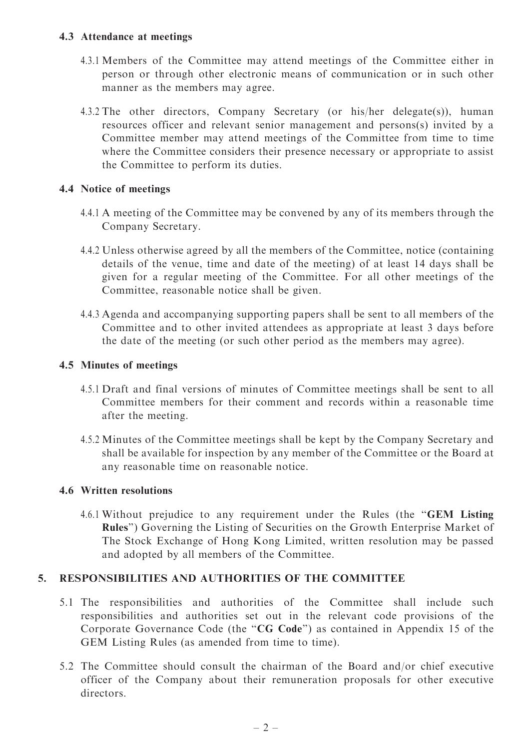#### 4.3 Attendance at meetings

- 4.3.1 Members of the Committee may attend meetings of the Committee either in person or through other electronic means of communication or in such other manner as the members may agree.
- 4.3.2 The other directors, Company Secretary (or his/her delegate(s)), human resources officer and relevant senior management and persons(s) invited by a Committee member may attend meetings of the Committee from time to time where the Committee considers their presence necessary or appropriate to assist the Committee to perform its duties.

#### 4.4 Notice of meetings

- 4.4.1 A meeting of the Committee may be convened by any of its members through the Company Secretary.
- 4.4.2 Unless otherwise agreed by all the members of the Committee, notice (containing details of the venue, time and date of the meeting) of at least 14 days shall be given for a regular meeting of the Committee. For all other meetings of the Committee, reasonable notice shall be given.
- 4.4.3 Agenda and accompanying supporting papers shall be sent to all members of the Committee and to other invited attendees as appropriate at least 3 days before the date of the meeting (or such other period as the members may agree).

# 4.5 Minutes of meetings

- 4.5.1 Draft and final versions of minutes of Committee meetings shall be sent to all Committee members for their comment and records within a reasonable time after the meeting.
- 4.5.2 Minutes of the Committee meetings shall be kept by the Company Secretary and shall be available for inspection by any member of the Committee or the Board at any reasonable time on reasonable notice.

#### 4.6 Written resolutions

4.6.1 Without prejudice to any requirement under the Rules (the ''GEM Listing Rules'') Governing the Listing of Securities on the Growth Enterprise Market of The Stock Exchange of Hong Kong Limited, written resolution may be passed and adopted by all members of the Committee.

#### 5. RESPONSIBILITIES AND AUTHORITIES OF THE COMMITTEE

- 5.1 The responsibilities and authorities of the Committee shall include such responsibilities and authorities set out in the relevant code provisions of the Corporate Governance Code (the "CG Code") as contained in Appendix 15 of the GEM Listing Rules (as amended from time to time).
- 5.2 The Committee should consult the chairman of the Board and/or chief executive officer of the Company about their remuneration proposals for other executive directors.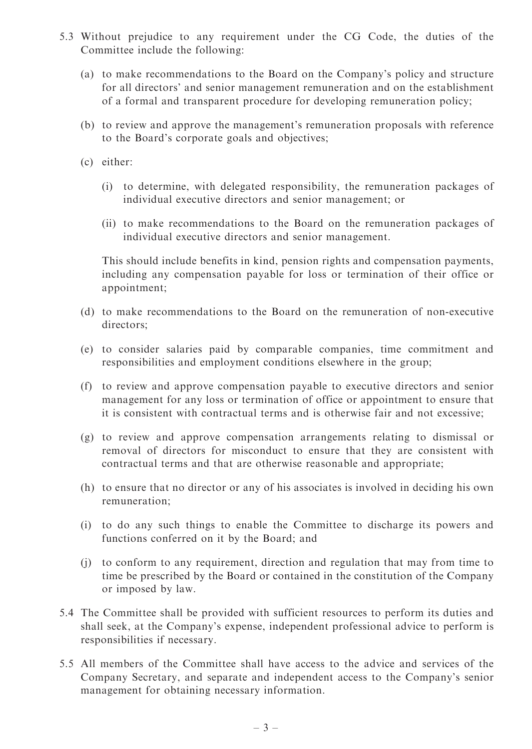- 5.3 Without prejudice to any requirement under the CG Code, the duties of the Committee include the following:
	- (a) to make recommendations to the Board on the Company's policy and structure for all directors' and senior management remuneration and on the establishment of a formal and transparent procedure for developing remuneration policy;
	- (b) to review and approve the management's remuneration proposals with reference to the Board's corporate goals and objectives;
	- (c) either:
		- (i) to determine, with delegated responsibility, the remuneration packages of individual executive directors and senior management; or
		- (ii) to make recommendations to the Board on the remuneration packages of individual executive directors and senior management.

This should include benefits in kind, pension rights and compensation payments, including any compensation payable for loss or termination of their office or appointment;

- (d) to make recommendations to the Board on the remuneration of non-executive directors;
- (e) to consider salaries paid by comparable companies, time commitment and responsibilities and employment conditions elsewhere in the group;
- (f) to review and approve compensation payable to executive directors and senior management for any loss or termination of office or appointment to ensure that it is consistent with contractual terms and is otherwise fair and not excessive;
- (g) to review and approve compensation arrangements relating to dismissal or removal of directors for misconduct to ensure that they are consistent with contractual terms and that are otherwise reasonable and appropriate;
- (h) to ensure that no director or any of his associates is involved in deciding his own remuneration;
- (i) to do any such things to enable the Committee to discharge its powers and functions conferred on it by the Board; and
- (j) to conform to any requirement, direction and regulation that may from time to time be prescribed by the Board or contained in the constitution of the Company or imposed by law.
- 5.4 The Committee shall be provided with sufficient resources to perform its duties and shall seek, at the Company's expense, independent professional advice to perform is responsibilities if necessary.
- 5.5 All members of the Committee shall have access to the advice and services of the Company Secretary, and separate and independent access to the Company's senior management for obtaining necessary information.